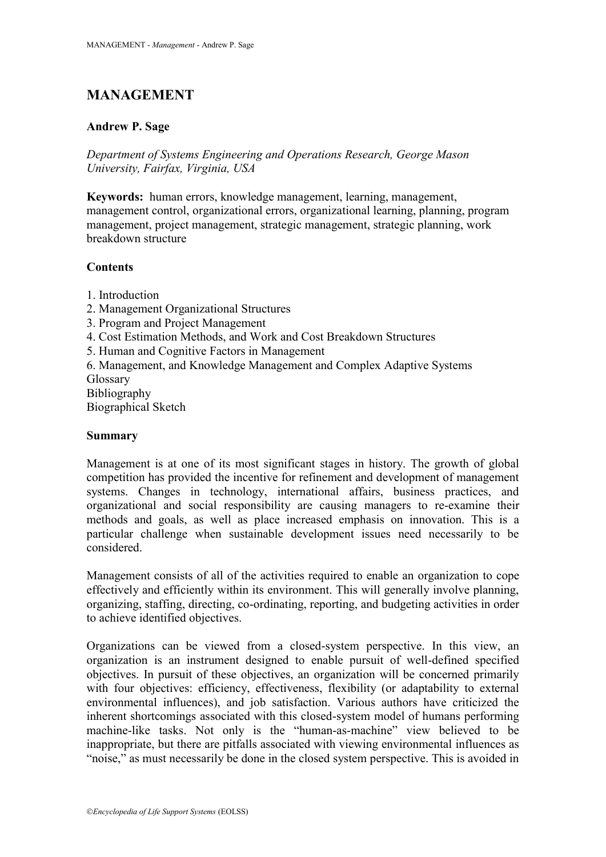# **MANAGEMENT**

### **Andrew P. Sage**

*Department of Systems Engineering and Operations Research, George Mason University, Fairfax, Virginia, USA*

**Keywords:** human errors, knowledge management, learning, management, management control, organizational errors, organizational learning, planning, program management, project management, strategic management, strategic planning, work breakdown structure

## **Contents**

- 1. Introduction
- 2. Management Organizational Structures
- 3. Program and Project Management
- 4. Cost Estimation Methods, and Work and Cost Breakdown Structures
- 5. Human and Cognitive Factors in Management
- 6. Management, and Knowledge Management and Complex Adaptive Systems Glossary

Bibliography Biographical Sketch

### **Summary**

Management is at one of its most significant stages in history. The growth of global competition has provided the incentive for refinement and development of management systems. Changes in technology, international affairs, business practices, and organizational and social responsibility are causing managers to re-examine their methods and goals, as well as place increased emphasis on innovation. This is a particular challenge when sustainable development issues need necessarily to be considered.

Management consists of all of the activities required to enable an organization to cope effectively and efficiently within its environment. This will generally involve planning, organizing, staffing, directing, co-ordinating, reporting, and budgeting activities in order to achieve identified objectives.

Organizations can be viewed from a closed-system perspective. In this view, an organization is an instrument designed to enable pursuit of well-defined specified objectives. In pursuit of these objectives, an organization will be concerned primarily with four objectives: efficiency, effectiveness, flexibility (or adaptability to external environmental influences), and job satisfaction. Various authors have criticized the inherent shortcomings associated with this closed-system model of humans performing machine-like tasks. Not only is the "human-as-machine" view believed to be inappropriate, but there are pitfalls associated with viewing environmental influences as "noise," as must necessarily be done in the closed system perspective. This is avoided in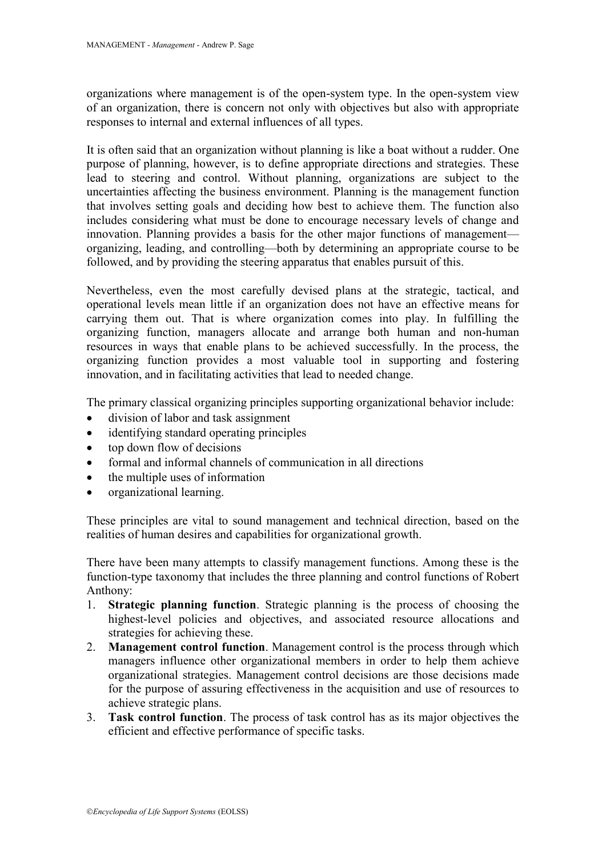organizations where management is of the open-system type. In the open-system view of an organization, there is concern not only with objectives but also with appropriate responses to internal and external influences of all types.

It is often said that an organization without planning is like a boat without a rudder. One purpose of planning, however, is to define appropriate directions and strategies. These lead to steering and control. Without planning, organizations are subject to the uncertainties affecting the business environment. Planning is the management function that involves setting goals and deciding how best to achieve them. The function also includes considering what must be done to encourage necessary levels of change and innovation. Planning provides a basis for the other major functions of management organizing, leading, and controlling—both by determining an appropriate course to be followed, and by providing the steering apparatus that enables pursuit of this.

Nevertheless, even the most carefully devised plans at the strategic, tactical, and operational levels mean little if an organization does not have an effective means for carrying them out. That is where organization comes into play. In fulfilling the organizing function, managers allocate and arrange both human and non-human resources in ways that enable plans to be achieved successfully. In the process, the organizing function provides a most valuable tool in supporting and fostering innovation, and in facilitating activities that lead to needed change.

The primary classical organizing principles supporting organizational behavior include:

- division of labor and task assignment
- identifying standard operating principles
- top down flow of decisions
- formal and informal channels of communication in all directions
- the multiple uses of information
- organizational learning.

These principles are vital to sound management and technical direction, based on the realities of human desires and capabilities for organizational growth.

There have been many attempts to classify management functions. Among these is the function-type taxonomy that includes the three planning and control functions of Robert Anthony:

- 1. **Strategic planning function**. Strategic planning is the process of choosing the highest-level policies and objectives, and associated resource allocations and strategies for achieving these.
- 2. **Management control function**. Management control is the process through which managers influence other organizational members in order to help them achieve organizational strategies. Management control decisions are those decisions made for the purpose of assuring effectiveness in the acquisition and use of resources to achieve strategic plans.
- 3. **Task control function**. The process of task control has as its major objectives the efficient and effective performance of specific tasks.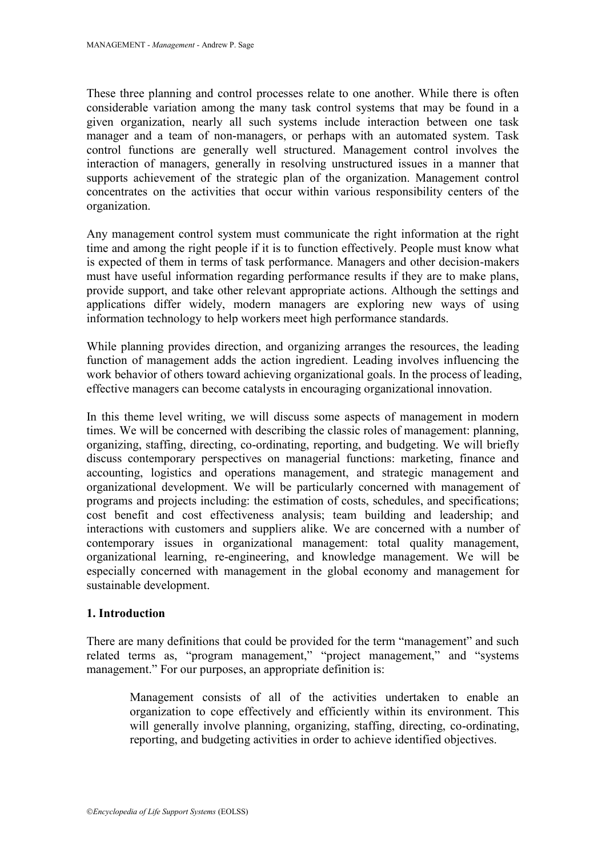These three planning and control processes relate to one another. While there is often considerable variation among the many task control systems that may be found in a given organization, nearly all such systems include interaction between one task manager and a team of non-managers, or perhaps with an automated system. Task control functions are generally well structured. Management control involves the interaction of managers, generally in resolving unstructured issues in a manner that supports achievement of the strategic plan of the organization. Management control concentrates on the activities that occur within various responsibility centers of the organization.

Any management control system must communicate the right information at the right time and among the right people if it is to function effectively. People must know what is expected of them in terms of task performance. Managers and other decision-makers must have useful information regarding performance results if they are to make plans, provide support, and take other relevant appropriate actions. Although the settings and applications differ widely, modern managers are exploring new ways of using information technology to help workers meet high performance standards.

While planning provides direction, and organizing arranges the resources, the leading function of management adds the action ingredient. Leading involves influencing the work behavior of others toward achieving organizational goals. In the process of leading, effective managers can become catalysts in encouraging organizational innovation.

In this theme level writing, we will discuss some aspects of management in modern times. We will be concerned with describing the classic roles of management: planning, organizing, staffing, directing, co-ordinating, reporting, and budgeting. We will briefly discuss contemporary perspectives on managerial functions: marketing, finance and accounting, logistics and operations management, and strategic management and organizational development. We will be particularly concerned with management of programs and projects including: the estimation of costs, schedules, and specifications; cost benefit and cost effectiveness analysis; team building and leadership; and interactions with customers and suppliers alike. We are concerned with a number of contemporary issues in organizational management: total quality management, organizational learning, re-engineering, and knowledge management. We will be especially concerned with management in the global economy and management for sustainable development.

### **1. Introduction**

There are many definitions that could be provided for the term "management" and such related terms as, "program management," "project management," and "systems management." For our purposes, an appropriate definition is:

Management consists of all of the activities undertaken to enable an organization to cope effectively and efficiently within its environment. This will generally involve planning, organizing, staffing, directing, co-ordinating, reporting, and budgeting activities in order to achieve identified objectives.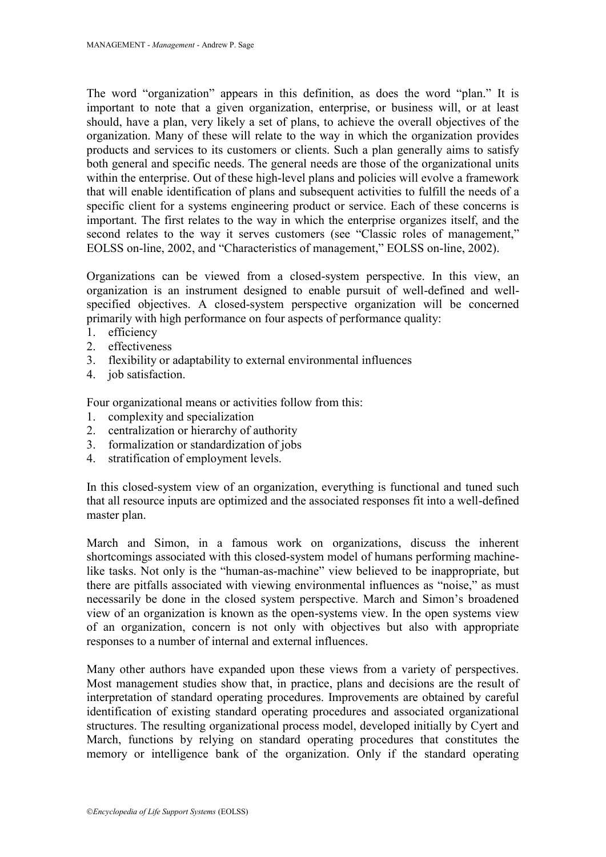The word "organization" appears in this definition, as does the word "plan." It is important to note that a given organization, enterprise, or business will, or at least should, have a plan, very likely a set of plans, to achieve the overall objectives of the organization. Many of these will relate to the way in which the organization provides products and services to its customers or clients. Such a plan generally aims to satisfy both general and specific needs. The general needs are those of the organizational units within the enterprise. Out of these high-level plans and policies will evolve a framework that will enable identification of plans and subsequent activities to fulfill the needs of a specific client for a systems engineering product or service. Each of these concerns is important. The first relates to the way in which the enterprise organizes itself, and the second relates to the way it serves customers (see "Classic roles of management," EOLSS on-line, 2002, and "Characteristics of management," EOLSS on-line, 2002).

Organizations can be viewed from a closed-system perspective. In this view, an organization is an instrument designed to enable pursuit of well-defined and wellspecified objectives. A closed-system perspective organization will be concerned primarily with high performance on four aspects of performance quality:

- 1. efficiency
- 2. effectiveness
- 3. flexibility or adaptability to external environmental influences
- 4. job satisfaction.

Four organizational means or activities follow from this:

- 1. complexity and specialization
- 2. centralization or hierarchy of authority
- 3. formalization or standardization of jobs
- 4. stratification of employment levels.

In this closed-system view of an organization, everything is functional and tuned such that all resource inputs are optimized and the associated responses fit into a well-defined master plan.

March and Simon, in a famous work on organizations, discuss the inherent shortcomings associated with this closed-system model of humans performing machinelike tasks. Not only is the "human-as-machine" view believed to be inappropriate, but there are pitfalls associated with viewing environmental influences as "noise," as must necessarily be done in the closed system perspective. March and Simon's broadened view of an organization is known as the open-systems view. In the open systems view of an organization, concern is not only with objectives but also with appropriate responses to a number of internal and external influences.

Many other authors have expanded upon these views from a variety of perspectives. Most management studies show that, in practice, plans and decisions are the result of interpretation of standard operating procedures. Improvements are obtained by careful identification of existing standard operating procedures and associated organizational structures. The resulting organizational process model, developed initially by Cyert and March, functions by relying on standard operating procedures that constitutes the memory or intelligence bank of the organization. Only if the standard operating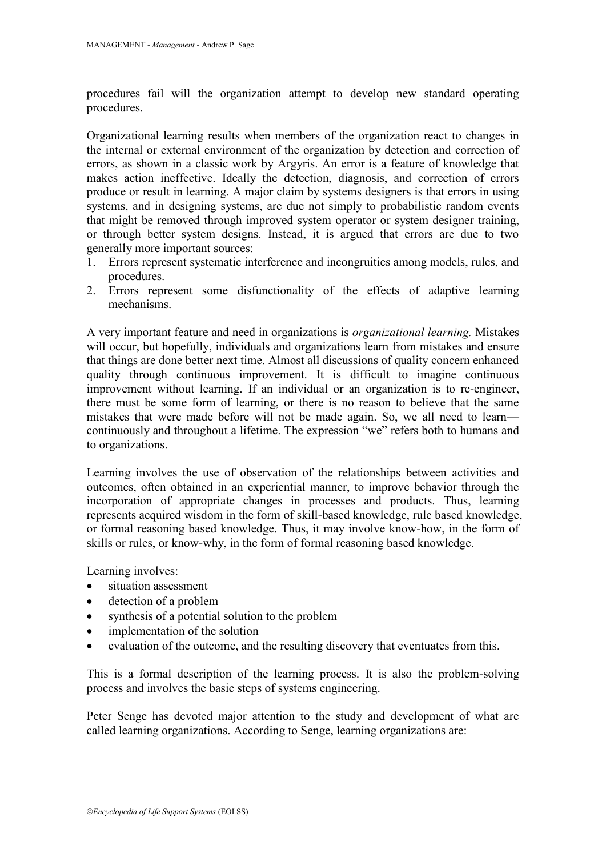procedures fail will the organization attempt to develop new standard operating procedures.

Organizational learning results when members of the organization react to changes in the internal or external environment of the organization by detection and correction of errors, as shown in a classic work by Argyris. An error is a feature of knowledge that makes action ineffective. Ideally the detection, diagnosis, and correction of errors produce or result in learning. A major claim by systems designers is that errors in using systems, and in designing systems, are due not simply to probabilistic random events that might be removed through improved system operator or system designer training, or through better system designs. Instead, it is argued that errors are due to two generally more important sources:

- 1. Errors represent systematic interference and incongruities among models, rules, and procedures.
- 2. Errors represent some disfunctionality of the effects of adaptive learning mechanisms.

A very important feature and need in organizations is *organizational learning.* Mistakes will occur, but hopefully, individuals and organizations learn from mistakes and ensure that things are done better next time. Almost all discussions of quality concern enhanced quality through continuous improvement. It is difficult to imagine continuous improvement without learning. If an individual or an organization is to re-engineer, there must be some form of learning, or there is no reason to believe that the same mistakes that were made before will not be made again. So, we all need to learn continuously and throughout a lifetime. The expression "we" refers both to humans and to organizations.

Learning involves the use of observation of the relationships between activities and outcomes, often obtained in an experiential manner, to improve behavior through the incorporation of appropriate changes in processes and products. Thus, learning represents acquired wisdom in the form of skill-based knowledge, rule based knowledge, or formal reasoning based knowledge. Thus, it may involve know-how, in the form of skills or rules, or know-why, in the form of formal reasoning based knowledge.

Learning involves:

- situation assessment
- detection of a problem
- synthesis of a potential solution to the problem
- implementation of the solution
- evaluation of the outcome, and the resulting discovery that eventuates from this.

This is a formal description of the learning process. It is also the problem-solving process and involves the basic steps of systems engineering.

Peter Senge has devoted major attention to the study and development of what are called learning organizations. According to Senge, learning organizations are: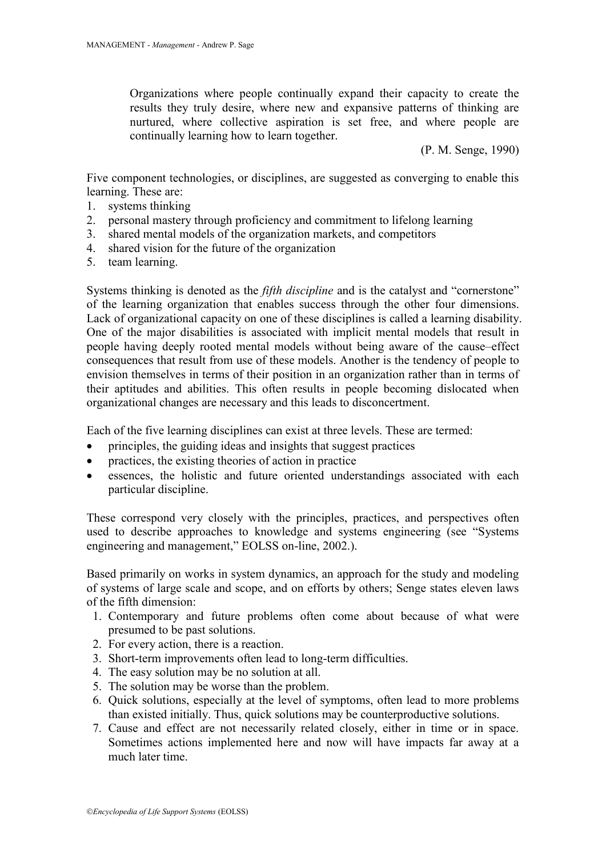Organizations where people continually expand their capacity to create the results they truly desire, where new and expansive patterns of thinking are nurtured, where collective aspiration is set free, and where people are continually learning how to learn together.

(P. M. Senge, 1990)

Five component technologies, or disciplines, are suggested as converging to enable this learning. These are:

- 1. systems thinking
- 2. personal mastery through proficiency and commitment to lifelong learning
- 3. shared mental models of the organization markets, and competitors
- 4. shared vision for the future of the organization
- 5. team learning.

Systems thinking is denoted as the *fifth discipline* and is the catalyst and "cornerstone" of the learning organization that enables success through the other four dimensions. Lack of organizational capacity on one of these disciplines is called a learning disability. One of the major disabilities is associated with implicit mental models that result in people having deeply rooted mental models without being aware of the cause–effect consequences that result from use of these models. Another is the tendency of people to envision themselves in terms of their position in an organization rather than in terms of their aptitudes and abilities. This often results in people becoming dislocated when organizational changes are necessary and this leads to disconcertment.

Each of the five learning disciplines can exist at three levels. These are termed:

- principles, the guiding ideas and insights that suggest practices
- practices, the existing theories of action in practice
- essences, the holistic and future oriented understandings associated with each particular discipline.

These correspond very closely with the principles, practices, and perspectives often used to describe approaches to knowledge and systems engineering (see "Systems") engineering and management," EOLSS on-line, 2002.).

Based primarily on works in system dynamics, an approach for the study and modeling of systems of large scale and scope, and on efforts by others; Senge states eleven laws of the fifth dimension:

- 1. Contemporary and future problems often come about because of what were presumed to be past solutions.
- 2. For every action, there is a reaction.
- 3. Short-term improvements often lead to long-term difficulties.
- 4. The easy solution may be no solution at all.
- 5. The solution may be worse than the problem.
- 6. Quick solutions, especially at the level of symptoms, often lead to more problems than existed initially. Thus, quick solutions may be counterproductive solutions.
- 7. Cause and effect are not necessarily related closely, either in time or in space. Sometimes actions implemented here and now will have impacts far away at a much later time.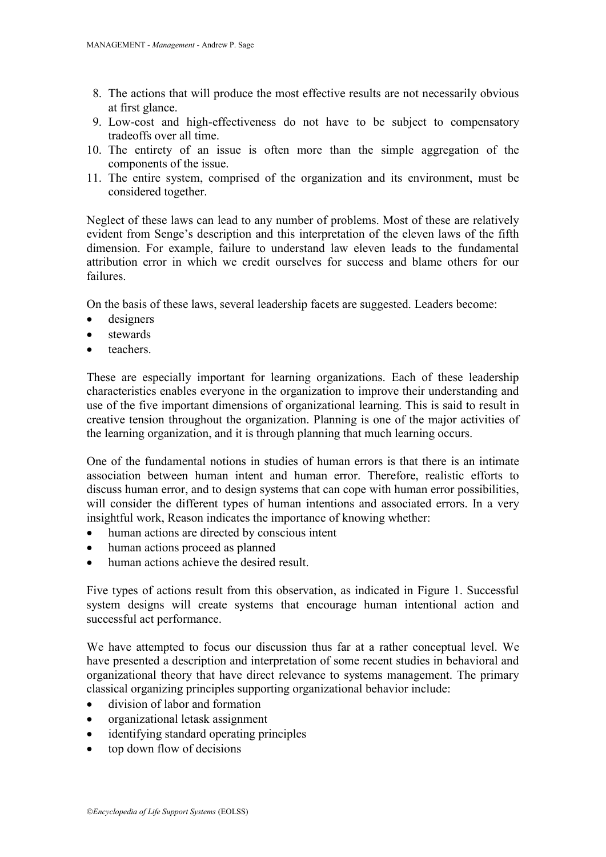- 8. The actions that will produce the most effective results are not necessarily obvious at first glance.
- 9. Low-cost and high-effectiveness do not have to be subject to compensatory tradeoffs over all time.
- 10. The entirety of an issue is often more than the simple aggregation of the components of the issue.
- 11. The entire system, comprised of the organization and its environment, must be considered together.

Neglect of these laws can lead to any number of problems. Most of these are relatively evident from Senge's description and this interpretation of the eleven laws of the fifth dimension. For example, failure to understand law eleven leads to the fundamental attribution error in which we credit ourselves for success and blame others for our failures.

On the basis of these laws, several leadership facets are suggested. Leaders become:

- designers
- stewards
- teachers.

These are especially important for learning organizations. Each of these leadership characteristics enables everyone in the organization to improve their understanding and use of the five important dimensions of organizational learning. This is said to result in creative tension throughout the organization. Planning is one of the major activities of the learning organization, and it is through planning that much learning occurs.

One of the fundamental notions in studies of human errors is that there is an intimate association between human intent and human error. Therefore, realistic efforts to discuss human error, and to design systems that can cope with human error possibilities, will consider the different types of human intentions and associated errors. In a very insightful work, Reason indicates the importance of knowing whether:

- human actions are directed by conscious intent
- human actions proceed as planned
- human actions achieve the desired result.

Five types of actions result from this observation, as indicated in Figure 1. Successful system designs will create systems that encourage human intentional action and successful act performance.

We have attempted to focus our discussion thus far at a rather conceptual level. We have presented a description and interpretation of some recent studies in behavioral and organizational theory that have direct relevance to systems management. The primary classical organizing principles supporting organizational behavior include:

- division of labor and formation
- organizational letask assignment
- identifying standard operating principles
- top down flow of decisions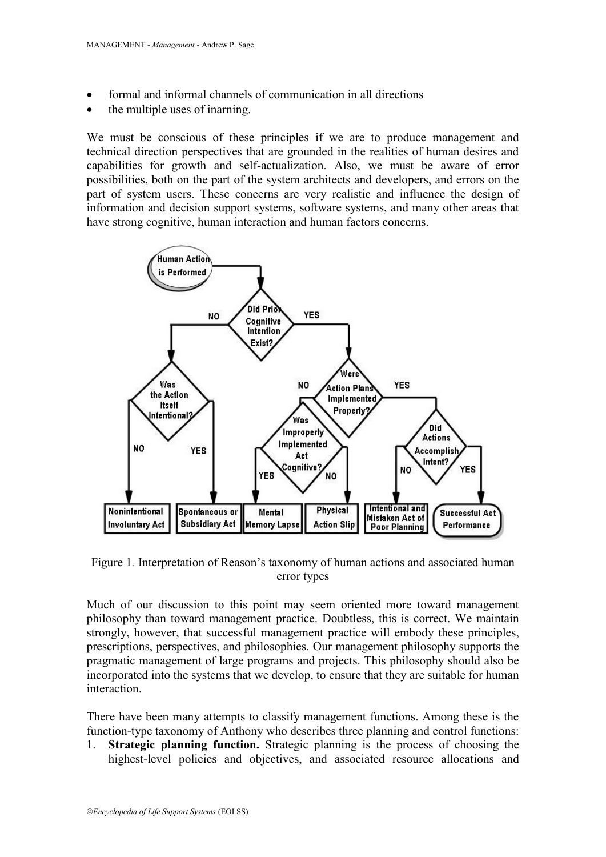- formal and informal channels of communication in all directions
- the multiple uses of inarning.

We must be conscious of these principles if we are to produce management and technical direction perspectives that are grounded in the realities of human desires and capabilities for growth and self-actualization. Also, we must be aware of error possibilities, both on the part of the system architects and developers, and errors on the part of system users. These concerns are very realistic and influence the design of information and decision support systems, software systems, and many other areas that have strong cognitive, human interaction and human factors concerns.



Figure 1*.* Interpretation of Reason's taxonomy of human actions and associated human error types

Much of our discussion to this point may seem oriented more toward management philosophy than toward management practice. Doubtless, this is correct. We maintain strongly, however, that successful management practice will embody these principles, prescriptions, perspectives, and philosophies. Our management philosophy supports the pragmatic management of large programs and projects. This philosophy should also be incorporated into the systems that we develop, to ensure that they are suitable for human interaction.

There have been many attempts to classify management functions. Among these is the function-type taxonomy of Anthony who describes three planning and control functions:

1. **Strategic planning function.** Strategic planning is the process of choosing the highest-level policies and objectives, and associated resource allocations and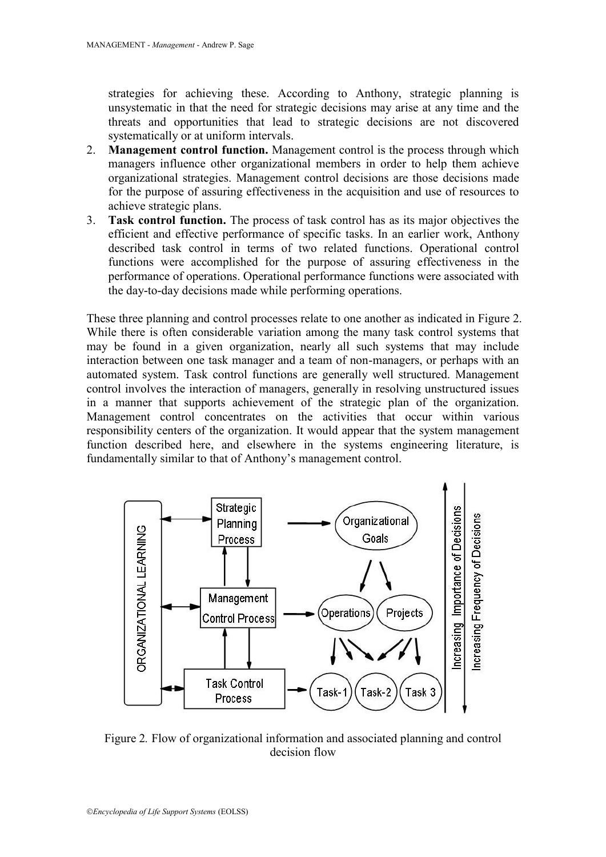strategies for achieving these. According to Anthony, strategic planning is unsystematic in that the need for strategic decisions may arise at any time and the threats and opportunities that lead to strategic decisions are not discovered systematically or at uniform intervals.

- 2. **Management control function.** Management control is the process through which managers influence other organizational members in order to help them achieve organizational strategies. Management control decisions are those decisions made for the purpose of assuring effectiveness in the acquisition and use of resources to achieve strategic plans.
- 3. **Task control function.** The process of task control has as its major objectives the efficient and effective performance of specific tasks. In an earlier work, Anthony described task control in terms of two related functions. Operational control functions were accomplished for the purpose of assuring effectiveness in the performance of operations. Operational performance functions were associated with the day-to-day decisions made while performing operations.

These three planning and control processes relate to one another as indicated in Figure 2. While there is often considerable variation among the many task control systems that may be found in a given organization, nearly all such systems that may include interaction between one task manager and a team of non-managers, or perhaps with an automated system. Task control functions are generally well structured. Management control involves the interaction of managers, generally in resolving unstructured issues in a manner that supports achievement of the strategic plan of the organization. Management control concentrates on the activities that occur within various responsibility centers of the organization. It would appear that the system management function described here, and elsewhere in the systems engineering literature, is fundamentally similar to that of Anthony's management control.



Figure 2*.* Flow of organizational information and associated planning and control decision flow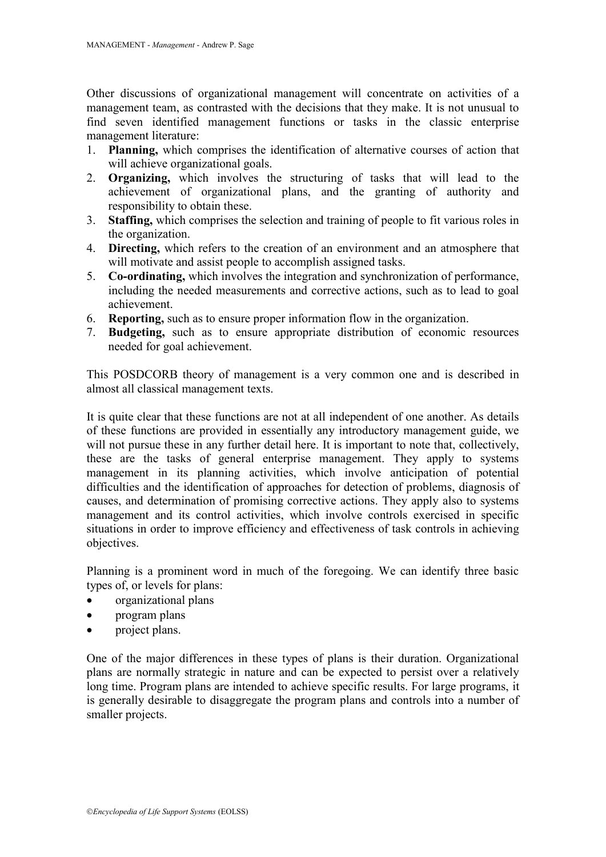Other discussions of organizational management will concentrate on activities of a management team, as contrasted with the decisions that they make. It is not unusual to find seven identified management functions or tasks in the classic enterprise management literature:

- 1. **Planning,** which comprises the identification of alternative courses of action that will achieve organizational goals.
- 2. **Organizing,** which involves the structuring of tasks that will lead to the achievement of organizational plans, and the granting of authority and responsibility to obtain these.
- 3. **Staffing,** which comprises the selection and training of people to fit various roles in the organization.
- 4. **Directing,** which refers to the creation of an environment and an atmosphere that will motivate and assist people to accomplish assigned tasks.
- 5. **Co-ordinating,** which involves the integration and synchronization of performance, including the needed measurements and corrective actions, such as to lead to goal achievement.
- 6. **Reporting,** such as to ensure proper information flow in the organization.
- 7. **Budgeting,** such as to ensure appropriate distribution of economic resources needed for goal achievement.

This POSDCORB theory of management is a very common one and is described in almost all classical management texts.

It is quite clear that these functions are not at all independent of one another. As details of these functions are provided in essentially any introductory management guide, we will not pursue these in any further detail here. It is important to note that, collectively, these are the tasks of general enterprise management. They apply to systems management in its planning activities, which involve anticipation of potential difficulties and the identification of approaches for detection of problems, diagnosis of causes, and determination of promising corrective actions. They apply also to systems management and its control activities, which involve controls exercised in specific situations in order to improve efficiency and effectiveness of task controls in achieving objectives.

Planning is a prominent word in much of the foregoing. We can identify three basic types of, or levels for plans:

- organizational plans
- program plans
- project plans.

One of the major differences in these types of plans is their duration. Organizational plans are normally strategic in nature and can be expected to persist over a relatively long time. Program plans are intended to achieve specific results. For large programs, it is generally desirable to disaggregate the program plans and controls into a number of smaller projects.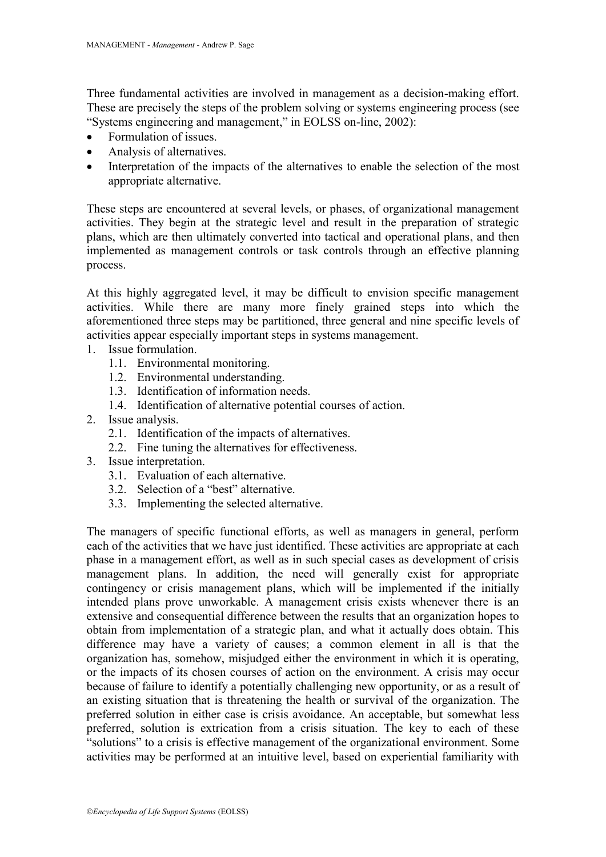Three fundamental activities are involved in management as a decision-making effort. These are precisely the steps of the problem solving or systems engineering process (see "Systems engineering and management," in EOLSS on-line, 2002):

- Formulation of issues.
- Analysis of alternatives.
- Interpretation of the impacts of the alternatives to enable the selection of the most appropriate alternative.

These steps are encountered at several levels, or phases, of organizational management activities. They begin at the strategic level and result in the preparation of strategic plans, which are then ultimately converted into tactical and operational plans, and then implemented as management controls or task controls through an effective planning process.

At this highly aggregated level, it may be difficult to envision specific management activities. While there are many more finely grained steps into which the aforementioned three steps may be partitioned, three general and nine specific levels of activities appear especially important steps in systems management.

- 1. Issue formulation.
	- 1.1. Environmental monitoring.
	- 1.2. Environmental understanding.
	- 1.3. Identification of information needs.
	- 1.4. Identification of alternative potential courses of action.
- 2. Issue analysis.
	- 2.1. Identification of the impacts of alternatives.
	- 2.2. Fine tuning the alternatives for effectiveness.
- 3. Issue interpretation.
	- 3.1. Evaluation of each alternative.
	- 3.2. Selection of a "best" alternative.
	- 3.3. Implementing the selected alternative.

The managers of specific functional efforts, as well as managers in general, perform each of the activities that we have just identified. These activities are appropriate at each phase in a management effort, as well as in such special cases as development of crisis management plans. In addition, the need will generally exist for appropriate contingency or crisis management plans, which will be implemented if the initially intended plans prove unworkable. A management crisis exists whenever there is an extensive and consequential difference between the results that an organization hopes to obtain from implementation of a strategic plan, and what it actually does obtain. This difference may have a variety of causes; a common element in all is that the organization has, somehow, misjudged either the environment in which it is operating, or the impacts of its chosen courses of action on the environment. A crisis may occur because of failure to identify a potentially challenging new opportunity, or as a result of an existing situation that is threatening the health or survival of the organization. The preferred solution in either case is crisis avoidance. An acceptable, but somewhat less preferred, solution is extrication from a crisis situation. The key to each of these "solutions" to a crisis is effective management of the organizational environment. Some activities may be performed at an intuitive level, based on experiential familiarity with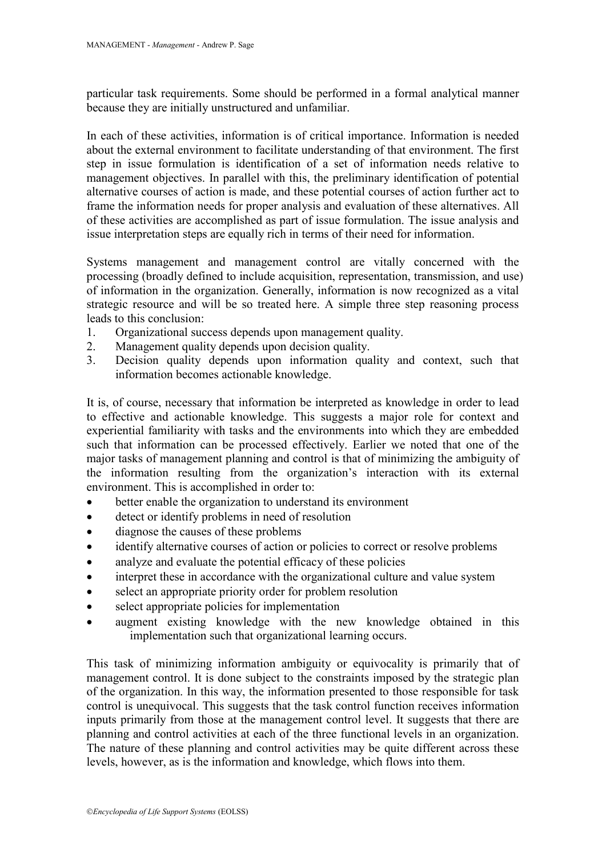particular task requirements. Some should be performed in a formal analytical manner because they are initially unstructured and unfamiliar.

In each of these activities, information is of critical importance. Information is needed about the external environment to facilitate understanding of that environment. The first step in issue formulation is identification of a set of information needs relative to management objectives. In parallel with this, the preliminary identification of potential alternative courses of action is made, and these potential courses of action further act to frame the information needs for proper analysis and evaluation of these alternatives. All of these activities are accomplished as part of issue formulation. The issue analysis and issue interpretation steps are equally rich in terms of their need for information.

Systems management and management control are vitally concerned with the processing (broadly defined to include acquisition, representation, transmission, and use) of information in the organization. Generally, information is now recognized as a vital strategic resource and will be so treated here. A simple three step reasoning process leads to this conclusion:

- 1. Organizational success depends upon management quality.
- 2. Management quality depends upon decision quality.
- 3. Decision quality depends upon information quality and context, such that information becomes actionable knowledge.

It is, of course, necessary that information be interpreted as knowledge in order to lead to effective and actionable knowledge. This suggests a major role for context and experiential familiarity with tasks and the environments into which they are embedded such that information can be processed effectively. Earlier we noted that one of the major tasks of management planning and control is that of minimizing the ambiguity of the information resulting from the organization's interaction with its external environment. This is accomplished in order to:

- better enable the organization to understand its environment
- detect or identify problems in need of resolution
- diagnose the causes of these problems
- identify alternative courses of action or policies to correct or resolve problems
- analyze and evaluate the potential efficacy of these policies
- interpret these in accordance with the organizational culture and value system
- select an appropriate priority order for problem resolution
- select appropriate policies for implementation
- augment existing knowledge with the new knowledge obtained in this implementation such that organizational learning occurs.

This task of minimizing information ambiguity or equivocality is primarily that of management control. It is done subject to the constraints imposed by the strategic plan of the organization. In this way, the information presented to those responsible for task control is unequivocal. This suggests that the task control function receives information inputs primarily from those at the management control level. It suggests that there are planning and control activities at each of the three functional levels in an organization. The nature of these planning and control activities may be quite different across these levels, however, as is the information and knowledge, which flows into them.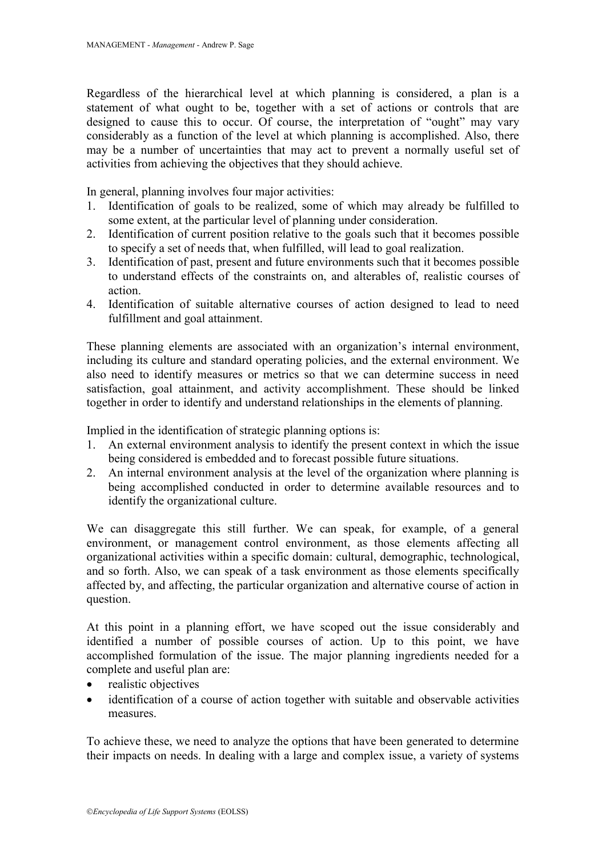Regardless of the hierarchical level at which planning is considered, a plan is a statement of what ought to be, together with a set of actions or controls that are designed to cause this to occur. Of course, the interpretation of "ought" may vary considerably as a function of the level at which planning is accomplished. Also, there may be a number of uncertainties that may act to prevent a normally useful set of activities from achieving the objectives that they should achieve.

In general, planning involves four major activities:

- 1. Identification of goals to be realized, some of which may already be fulfilled to some extent, at the particular level of planning under consideration.
- 2. Identification of current position relative to the goals such that it becomes possible to specify a set of needs that, when fulfilled, will lead to goal realization.
- 3. Identification of past, present and future environments such that it becomes possible to understand effects of the constraints on, and alterables of, realistic courses of action.
- 4. Identification of suitable alternative courses of action designed to lead to need fulfillment and goal attainment.

These planning elements are associated with an organization's internal environment, including its culture and standard operating policies, and the external environment. We also need to identify measures or metrics so that we can determine success in need satisfaction, goal attainment, and activity accomplishment. These should be linked together in order to identify and understand relationships in the elements of planning.

Implied in the identification of strategic planning options is:

- 1. An external environment analysis to identify the present context in which the issue being considered is embedded and to forecast possible future situations.
- 2. An internal environment analysis at the level of the organization where planning is being accomplished conducted in order to determine available resources and to identify the organizational culture.

We can disaggregate this still further. We can speak, for example, of a general environment, or management control environment, as those elements affecting all organizational activities within a specific domain: cultural, demographic, technological, and so forth. Also, we can speak of a task environment as those elements specifically affected by, and affecting, the particular organization and alternative course of action in question.

At this point in a planning effort, we have scoped out the issue considerably and identified a number of possible courses of action. Up to this point, we have accomplished formulation of the issue. The major planning ingredients needed for a complete and useful plan are:

- realistic objectives
- identification of a course of action together with suitable and observable activities measures.

To achieve these, we need to analyze the options that have been generated to determine their impacts on needs. In dealing with a large and complex issue, a variety of systems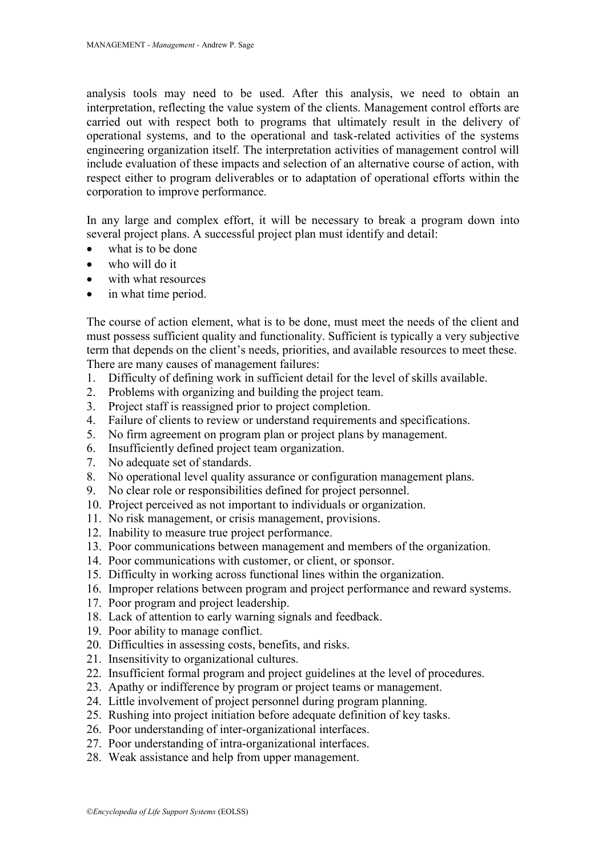analysis tools may need to be used. After this analysis, we need to obtain an interpretation, reflecting the value system of the clients. Management control efforts are carried out with respect both to programs that ultimately result in the delivery of operational systems, and to the operational and task-related activities of the systems engineering organization itself. The interpretation activities of management control will include evaluation of these impacts and selection of an alternative course of action, with respect either to program deliverables or to adaptation of operational efforts within the corporation to improve performance.

In any large and complex effort, it will be necessary to break a program down into several project plans. A successful project plan must identify and detail:

- what is to be done
- who will do it
- with what resources
- in what time period.

The course of action element, what is to be done, must meet the needs of the client and must possess sufficient quality and functionality. Sufficient is typically a very subjective term that depends on the client's needs, priorities, and available resources to meet these. There are many causes of management failures:

- 1. Difficulty of defining work in sufficient detail for the level of skills available.
- 2. Problems with organizing and building the project team.
- 3. Project staff is reassigned prior to project completion.
- 4. Failure of clients to review or understand requirements and specifications.
- 5. No firm agreement on program plan or project plans by management.
- 6. Insufficiently defined project team organization.
- 7. No adequate set of standards.
- 8. No operational level quality assurance or configuration management plans.
- 9. No clear role or responsibilities defined for project personnel.
- 10. Project perceived as not important to individuals or organization.
- 11. No risk management, or crisis management, provisions.
- 12. Inability to measure true project performance.
- 13. Poor communications between management and members of the organization.
- 14. Poor communications with customer, or client, or sponsor.
- 15. Difficulty in working across functional lines within the organization.
- 16. Improper relations between program and project performance and reward systems.
- 17. Poor program and project leadership.
- 18. Lack of attention to early warning signals and feedback.
- 19. Poor ability to manage conflict.
- 20. Difficulties in assessing costs, benefits, and risks.
- 21. Insensitivity to organizational cultures.
- 22. Insufficient formal program and project guidelines at the level of procedures.
- 23. Apathy or indifference by program or project teams or management.
- 24. Little involvement of project personnel during program planning.
- 25. Rushing into project initiation before adequate definition of key tasks.
- 26. Poor understanding of inter-organizational interfaces.
- 27. Poor understanding of intra-organizational interfaces.
- 28. Weak assistance and help from upper management.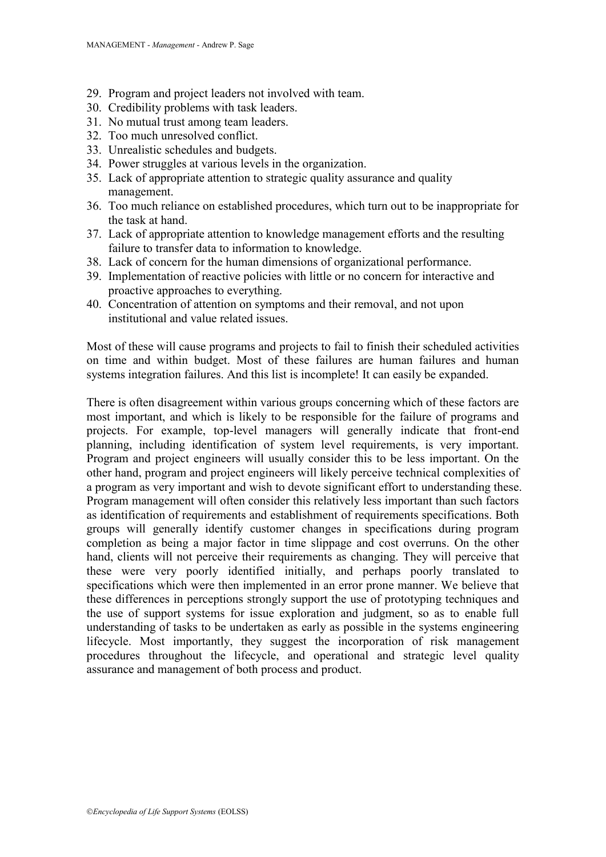- 29. Program and project leaders not involved with team.
- 30. Credibility problems with task leaders.
- 31. No mutual trust among team leaders.
- 32. Too much unresolved conflict.
- 33. Unrealistic schedules and budgets.
- 34. Power struggles at various levels in the organization.
- 35. Lack of appropriate attention to strategic quality assurance and quality management.
- 36. Too much reliance on established procedures, which turn out to be inappropriate for the task at hand.
- 37. Lack of appropriate attention to knowledge management efforts and the resulting failure to transfer data to information to knowledge.
- 38. Lack of concern for the human dimensions of organizational performance.
- 39. Implementation of reactive policies with little or no concern for interactive and proactive approaches to everything.
- 40. Concentration of attention on symptoms and their removal, and not upon institutional and value related issues.

Most of these will cause programs and projects to fail to finish their scheduled activities on time and within budget. Most of these failures are human failures and human systems integration failures. And this list is incomplete! It can easily be expanded.

There is often disagreement within various groups concerning which of these factors are most important, and which is likely to be responsible for the failure of programs and projects. For example, top-level managers will generally indicate that front-end planning, including identification of system level requirements, is very important. Program and project engineers will usually consider this to be less important. On the other hand, program and project engineers will likely perceive technical complexities of a program as very important and wish to devote significant effort to understanding these. Program management will often consider this relatively less important than such factors as identification of requirements and establishment of requirements specifications. Both groups will generally identify customer changes in specifications during program completion as being a major factor in time slippage and cost overruns. On the other hand, clients will not perceive their requirements as changing. They will perceive that these were very poorly identified initially, and perhaps poorly translated to specifications which were then implemented in an error prone manner. We believe that these differences in perceptions strongly support the use of prototyping techniques and the use of support systems for issue exploration and judgment, so as to enable full understanding of tasks to be undertaken as early as possible in the systems engineering lifecycle. Most importantly, they suggest the incorporation of risk management procedures throughout the lifecycle, and operational and strategic level quality assurance and management of both process and product.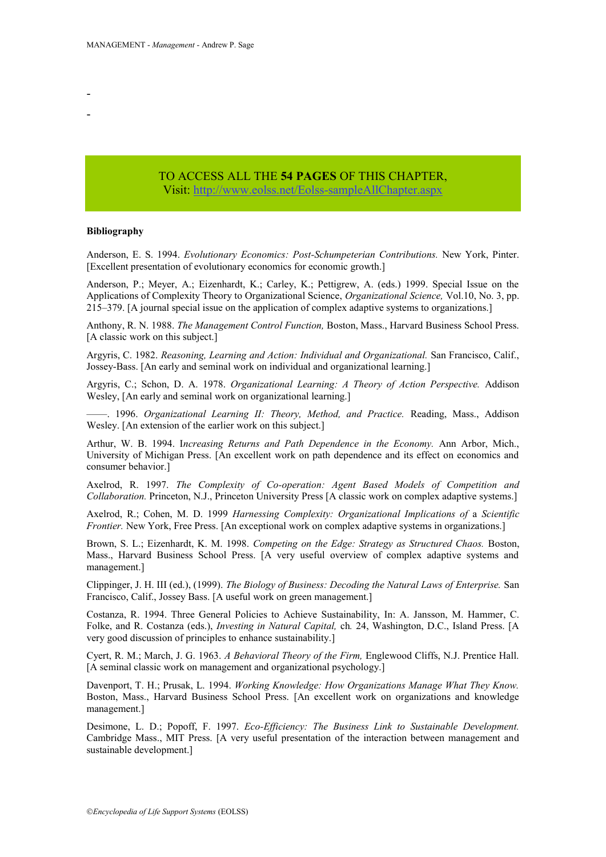#### TO ACCESS ALL THE **54 PAGES** OF THIS CHAPTER, Visi[t:](https://www.eolss.net/ebooklib/sc_cart.aspx?File=E6-30) <http://www.eolss.net/Eolss-sampleAllChapter.aspx>

#### **Bibliography**

Anderson, E. S. 1994. *Evolutionary Economics: Post-Schumpeterian Contributions.* New York, Pinter. [Excellent presentation of evolutionary economics for economic growth.]

Anderson, P.; Meyer, A.; Eizenhardt, K.; Carley, K.; Pettigrew, A. (eds.) 1999. Special Issue on the Applications of Complexity Theory to Organizational Science, *Organizational Science,* Vol.10, No. 3, pp. 215–379. [A journal special issue on the application of complex adaptive systems to organizations.]

Anthony, R. N. 1988. *The Management Control Function,* Boston, Mass., Harvard Business School Press. [A classic work on this subject.]

Argyris, C. 1982. *Reasoning, Learning and Action: Individual and Organizational.* San Francisco, Calif., Jossey-Bass. [An early and seminal work on individual and organizational learning.]

Argyris, C.; Schon, D. A. 1978. *Organizational Learning: A Theory of Action Perspective.* Addison Wesley, [An early and seminal work on organizational learning.]

––––. 1996. *Organizational Learning II: Theory, Method, and Practice.* Reading, Mass., Addison Wesley. [An extension of the earlier work on this subject.]

Arthur, W. B. 1994. I*ncreasing Returns and Path Dependence in the Economy.* Ann Arbor, Mich., University of Michigan Press. [An excellent work on path dependence and its effect on economics and consumer behavior.]

Axelrod, R. 1997. *The Complexity of Co-operation: Agent Based Models of Competition and Collaboration.* Princeton, N.J., Princeton University Press [A classic work on complex adaptive systems.]

Axelrod, R.; Cohen, M. D. 1999 *Harnessing Complexity: Organizational Implications of* a *Scientific Frontier.* New York, Free Press. [An exceptional work on complex adaptive systems in organizations.]

Brown, S. L.; Eizenhardt, K. M. 1998. *Competing on the Edge: Strategy as Structured Chaos.* Boston, Mass., Harvard Business School Press. [A very useful overview of complex adaptive systems and management.]

Clippinger, J. H. III (ed.), (1999). *The Biology of Business: Decoding the Natural Laws of Enterprise.* San Francisco, Calif., Jossey Bass. [A useful work on green management.]

Costanza, R. 1994. Three General Policies to Achieve Sustainability, In: A. Jansson, M. Hammer, C. Folke, and R. Costanza (eds.), *Investing in Natural Capital,* ch*.* 24, Washington, D.C., Island Press. [A very good discussion of principles to enhance sustainability.]

Cyert, R. M.; March, J. G. 1963. *A Behavioral Theory of the Firm,* Englewood Cliffs, N.J. Prentice Hall. [A seminal classic work on management and organizational psychology.]

Davenport, T. H.; Prusak, L. 1994. *Working Knowledge: How Organizations Manage What They Know.* Boston, Mass., Harvard Business School Press. [An excellent work on organizations and knowledge management.]

Desimone, L. D.; Popoff, F. 1997. *Eco-Efficiency: The Business Link to Sustainable Development.* Cambridge Mass., MIT Press. [A very useful presentation of the interaction between management and sustainable development.]

- -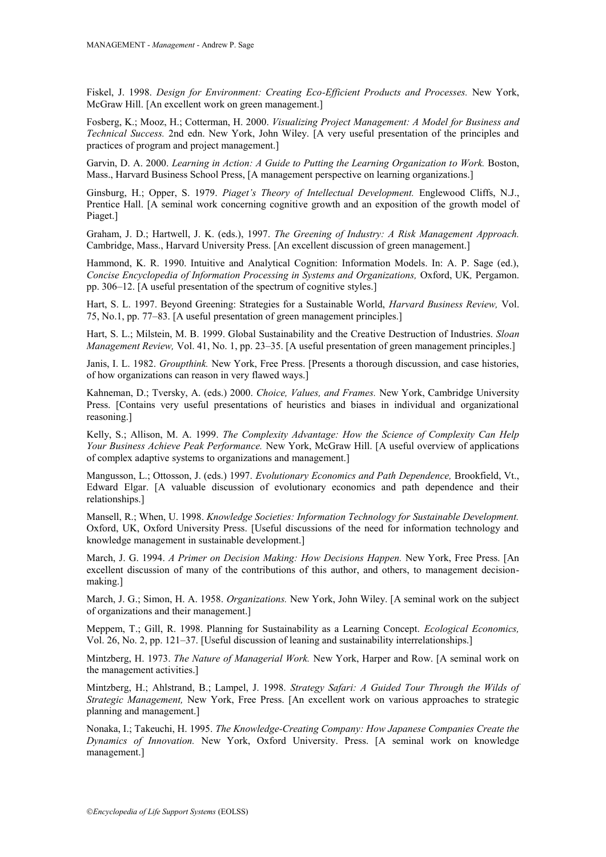Fiskel, J. 1998. *Design for Environment: Creating Eco-Efficient Products and Processes.* New York, McGraw Hill. [An excellent work on green management.]

Fosberg, K.; Mooz, H.; Cotterman, H. 2000. *Visualizing Project Management: A Model for Business and Technical Success.* 2nd edn. New York, John Wiley. [A very useful presentation of the principles and practices of program and project management.]

Garvin, D. A. 2000. *Learning in Action: A Guide to Putting the Learning Organization to Work.* Boston, Mass., Harvard Business School Press, [A management perspective on learning organizations.]

Ginsburg, H.; Opper, S. 1979. *Piaget's Theory of Intellectual Development.* Englewood Cliffs, N.J., Prentice Hall. [A seminal work concerning cognitive growth and an exposition of the growth model of Piaget.]

Graham, J. D.; Hartwell, J. K. (eds.), 1997. *The Greening of Industry: A Risk Management Approach.* Cambridge, Mass., Harvard University Press. [An excellent discussion of green management.]

Hammond, K. R. 1990. Intuitive and Analytical Cognition: Information Models. In: A. P. Sage (ed.), *Concise Encyclopedia of Information Processing in Systems and Organizations,* Oxford, UK*,* Pergamon. pp. 306–12. [A useful presentation of the spectrum of cognitive styles.]

Hart, S. L. 1997. Beyond Greening: Strategies for a Sustainable World, *Harvard Business Review,* Vol. 75, No.1, pp. 77–83. [A useful presentation of green management principles.]

Hart, S. L.; Milstein, M. B. 1999. Global Sustainability and the Creative Destruction of Industries. *Sloan Management Review,* Vol. 41, No. 1, pp. 23–35. [A useful presentation of green management principles.]

Janis, I. L. 1982. *Groupthink.* New York, Free Press. [Presents a thorough discussion, and case histories, of how organizations can reason in very flawed ways.]

Kahneman, D.; Tversky, A. (eds.) 2000. *Choice, Values, and Frames.* New York, Cambridge University Press. [Contains very useful presentations of heuristics and biases in individual and organizational reasoning.]

Kelly, S.; Allison, M. A. 1999. *The Complexity Advantage: How the Science of Complexity Can Help Your Business Achieve Peak Performance.* New York, McGraw Hill. [A useful overview of applications of complex adaptive systems to organizations and management.]

Mangusson, L.; Ottosson, J. (eds.) 1997. *Evolutionary Economics and Path Dependence,* Brookfield, Vt., Edward Elgar. [A valuable discussion of evolutionary economics and path dependence and their relationships.]

Mansell, R.; When, U. 1998. *Knowledge Societies: Information Technology for Sustainable Development.* Oxford, UK, Oxford University Press. [Useful discussions of the need for information technology and knowledge management in sustainable development.]

March, J. G. 1994. *A Primer on Decision Making: How Decisions Happen.* New York, Free Press. [An excellent discussion of many of the contributions of this author, and others, to management decisionmaking.]

March, J. G.; Simon, H. A. 1958. *Organizations.* New York, John Wiley. [A seminal work on the subject of organizations and their management.]

Meppem, T.; Gill, R. 1998. Planning for Sustainability as a Learning Concept. *Ecological Economics,*  Vol. 26, No. 2, pp. 121–37. [Useful discussion of leaning and sustainability interrelationships.]

Mintzberg, H. 1973. *The Nature of Managerial Work.* New York, Harper and Row. [A seminal work on the management activities.]

Mintzberg, H.; Ahlstrand, B.; Lampel, J. 1998. *Strategy Safari: A Guided Tour Through the Wilds of Strategic Management,* New York, Free Press. [An excellent work on various approaches to strategic planning and management.]

Nonaka, I.; Takeuchi, H. 1995. *The Knowledge-Creating Company: How Japanese Companies Create the Dynamics of Innovation.* New York, Oxford University. Press. [A seminal work on knowledge management.]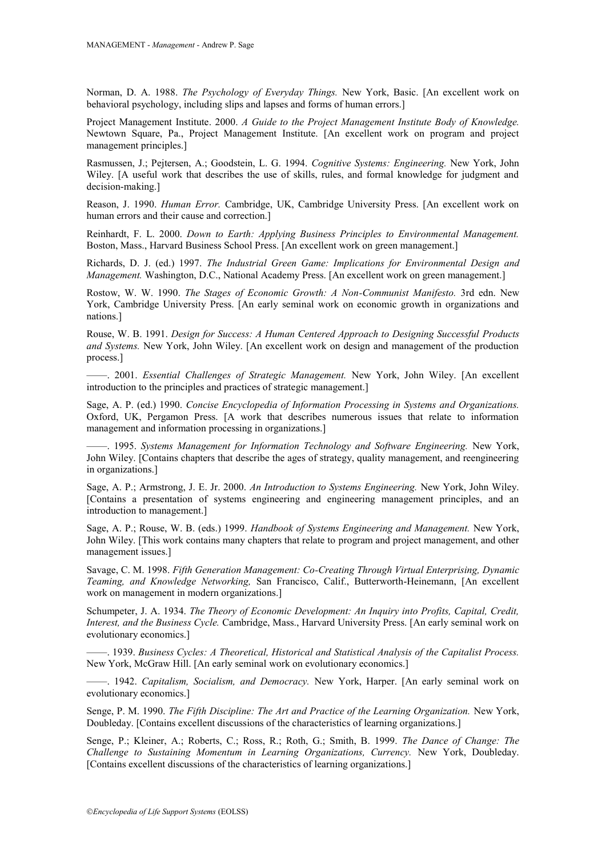Norman, D. A. 1988. *The Psychology of Everyday Things.* New York, Basic. [An excellent work on behavioral psychology, including slips and lapses and forms of human errors.]

Project Management Institute. 2000. *A Guide to the Project Management Institute Body of Knowledge.* Newtown Square, Pa., Project Management Institute. [An excellent work on program and project management principles.]

Rasmussen, J.; Pejtersen, A.; Goodstein, L. G. 1994. *Cognitive Systems: Engineering.* New York, John Wiley. [A useful work that describes the use of skills, rules, and formal knowledge for judgment and decision-making.]

Reason, J. 1990. *Human Error.* Cambridge, UK, Cambridge University Press. [An excellent work on human errors and their cause and correction.]

Reinhardt, F. L. 2000. *Down to Earth: Applying Business Principles to Environmental Management.* Boston, Mass., Harvard Business School Press. [An excellent work on green management.]

Richards, D. J. (ed.) 1997. *The Industrial Green Game: Implications for Environmental Design and Management.* Washington, D.C., National Academy Press. [An excellent work on green management.]

Rostow, W. W. 1990. *The Stages of Economic Growth: A Non-Communist Manifesto.* 3rd edn. New York, Cambridge University Press. [An early seminal work on economic growth in organizations and nations.]

Rouse, W. B. 1991. *Design for Success: A Human Centered Approach to Designing Successful Products and Systems.* New York, John Wiley. [An excellent work on design and management of the production process.]

––––. 2001. *Essential Challenges of Strategic Management.* New York, John Wiley. [An excellent introduction to the principles and practices of strategic management.]

Sage, A. P. (ed.) 1990. *Concise Encyclopedia of Information Processing in Systems and Organizations.* Oxford, UK, Pergamon Press. [A work that describes numerous issues that relate to information management and information processing in organizations.]

––––. 1995. *Systems Management for Information Technology and Software Engineering.* New York, John Wiley. [Contains chapters that describe the ages of strategy, quality management, and reengineering in organizations.]

Sage, A. P.; Armstrong, J. E. Jr. 2000. *An Introduction to Systems Engineering.* New York, John Wiley. [Contains a presentation of systems engineering and engineering management principles, and an introduction to management.]

Sage, A. P.; Rouse, W. B. (eds.) 1999. *Handbook of Systems Engineering and Management.* New York, John Wiley. [This work contains many chapters that relate to program and project management, and other management issues.]

Savage, C. M. 1998. *Fifth Generation Management: Co-Creating Through Virtual Enterprising, Dynamic Teaming, and Knowledge Networking,* San Francisco, Calif., Butterworth-Heinemann, [An excellent work on management in modern organizations.]

Schumpeter, J. A. 1934. *The Theory of Economic Development: An Inquiry into Profits, Capital, Credit, Interest, and the Business Cycle.* Cambridge, Mass., Harvard University Press. [An early seminal work on evolutionary economics.]

––––. 1939. *Business Cycles: A Theoretical, Historical and Statistical Analysis of the Capitalist Process.* New York, McGraw Hill. [An early seminal work on evolutionary economics.]

––––. 1942. *Capitalism, Socialism, and Democracy.* New York, Harper. [An early seminal work on evolutionary economics.]

Senge, P. M. 1990. *The Fifth Discipline: The Art and Practice of the Learning Organization.* New York, Doubleday. [Contains excellent discussions of the characteristics of learning organizations.]

Senge, P.; Kleiner, A.; Roberts, C.; Ross, R.; Roth, G.; Smith, B. 1999. *The Dance of Change: The Challenge to Sustaining Momentum in Learning Organizations, Currency.* New York, Doubleday. [Contains excellent discussions of the characteristics of learning organizations.]